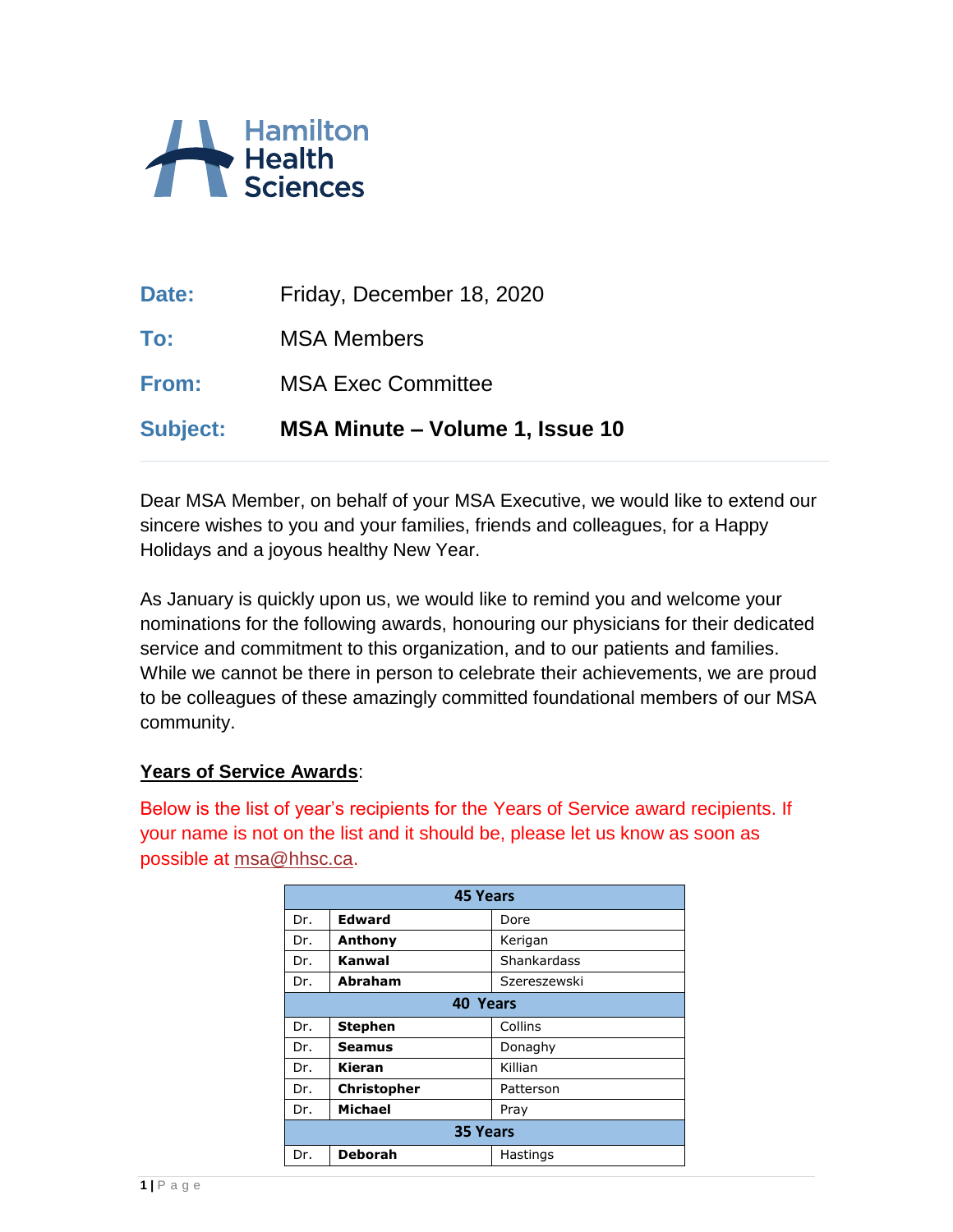

| <b>Subject:</b> | <b>MSA Exec Committee</b><br>MSA Minute – Volume 1, Issue 10 |  |
|-----------------|--------------------------------------------------------------|--|
| From:           |                                                              |  |
| To:             | <b>MSA Members</b>                                           |  |
| Date:           | Friday, December 18, 2020                                    |  |

Dear MSA Member, on behalf of your MSA Executive, we would like to extend our sincere wishes to you and your families, friends and colleagues, for a Happy Holidays and a joyous healthy New Year.

As January is quickly upon us, we would like to remind you and welcome your nominations for the following awards, honouring our physicians for their dedicated service and commitment to this organization, and to our patients and families. While we cannot be there in person to celebrate their achievements, we are proud to be colleagues of these amazingly committed foundational members of our MSA community.

#### **Years of Service Awards**:

Below is the list of year's recipients for the Years of Service award recipients. If your name is not on the list and it should be, please let us know as soon as possible at [msa@hhsc.ca.](mailto:msa@hhsc.ca)

| <b>45 Years</b> |                    |              |  |
|-----------------|--------------------|--------------|--|
| Dr.             | <b>Edward</b>      | Dore         |  |
| Dr.             | Anthony            | Kerigan      |  |
| Dr.             | Kanwal             | Shankardass  |  |
| Dr.             | <b>Abraham</b>     | Szereszewski |  |
| 40 Years        |                    |              |  |
| Dr.             | <b>Stephen</b>     | Collins      |  |
| Dr.             | <b>Seamus</b>      | Donaghy      |  |
| Dr.             | Kieran             | Killian      |  |
| Dr.             | <b>Christopher</b> | Patterson    |  |
| Dr.             | <b>Michael</b>     | Pray         |  |
| <b>35 Years</b> |                    |              |  |
| Dr.             | <b>Deborah</b>     | Hastings     |  |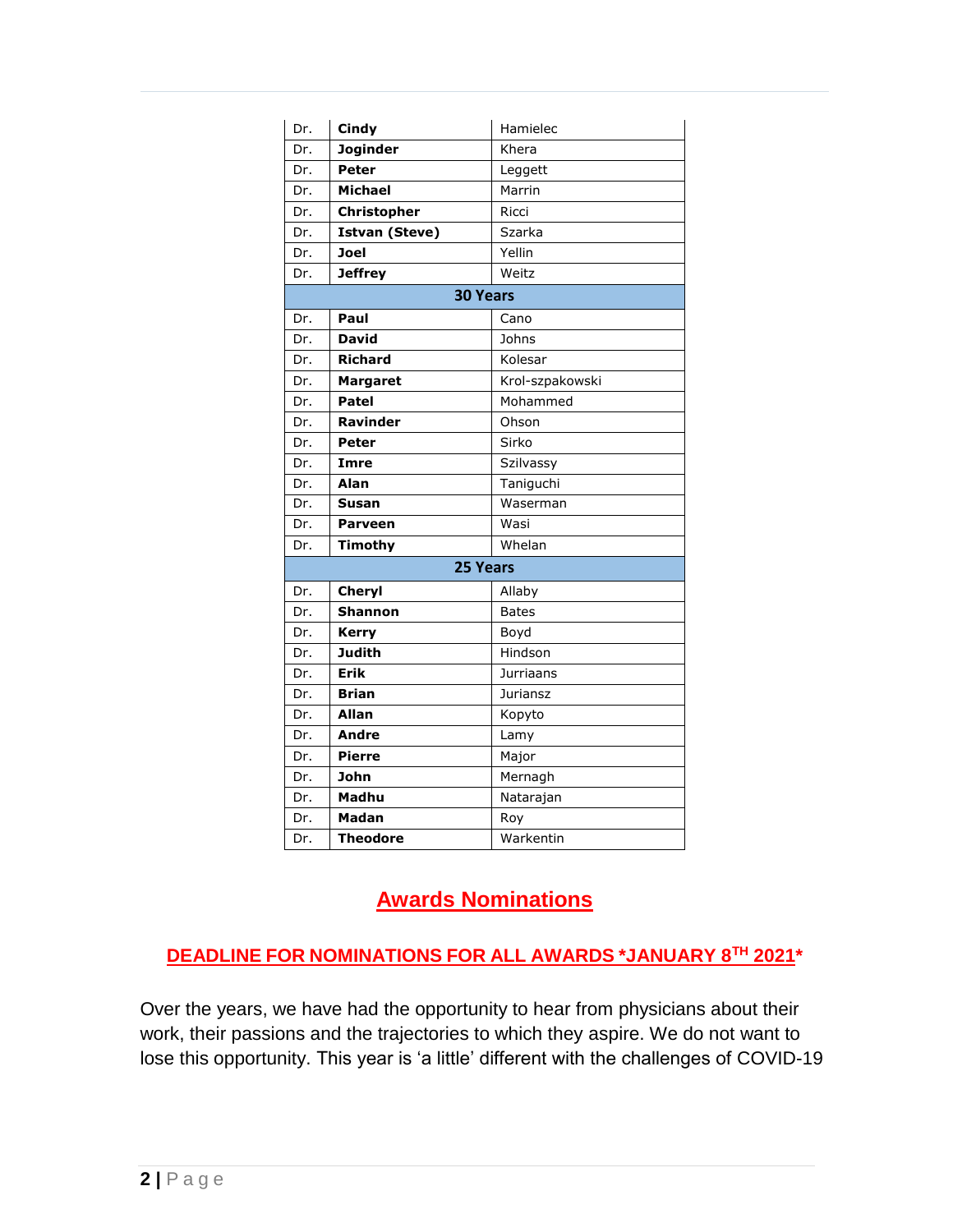| Dr.             | Cindy                 | Hamielec         |  |
|-----------------|-----------------------|------------------|--|
| Dr.             | <b>Joginder</b>       | Khera            |  |
| Dr.             | Peter                 | Leggett          |  |
| Dr.             | <b>Michael</b>        | Marrin           |  |
| Dr.             | Christopher           | Ricci            |  |
| Dr.             | <b>Istvan (Steve)</b> | Szarka           |  |
| Dr.             | <b>Joel</b>           | Yellin           |  |
| Dr.             | <b>Jeffrey</b>        | Weitz            |  |
| <b>30 Years</b> |                       |                  |  |
| Dr.             | Paul                  | Cano             |  |
| Dr.             | <b>David</b>          | Johns            |  |
| Dr.             | <b>Richard</b>        | Kolesar          |  |
| Dr.             | <b>Margaret</b>       | Krol-szpakowski  |  |
| Dr.             | <b>Patel</b>          | Mohammed         |  |
| Dr.             | Ravinder              | Ohson            |  |
| Dr.             | Peter                 | Sirko            |  |
| Dr.             | Imre                  | Szilvassy        |  |
| Dr.             | Alan                  | Taniguchi        |  |
| Dr.             | Susan                 | Waserman         |  |
| Dr.             | <b>Parveen</b>        | Wasi             |  |
| Dr.             | <b>Timothy</b>        | Whelan           |  |
| 25 Years        |                       |                  |  |
| Dr.             | Cheryl                | Allaby           |  |
| Dr.             | <b>Shannon</b>        | <b>Bates</b>     |  |
| Dr.             | <b>Kerry</b>          | Boyd             |  |
| Dr.             | <b>Judith</b>         | Hindson          |  |
| Dr.             | <b>Erik</b>           | <b>Jurriaans</b> |  |
| Dr.             | Brian                 | <b>Juriansz</b>  |  |
| Dr.             | <b>Allan</b>          | Kopyto           |  |
| Dr.             | <b>Andre</b>          | Lamy             |  |
| Dr.             | <b>Pierre</b>         | Major            |  |
| Dr.             | <b>John</b>           | Mernagh          |  |
| Dr.             | Madhu                 | Natarajan        |  |
| Dr.             | Madan                 | Roy              |  |
| Dr.             | <b>Theodore</b>       | Warkentin        |  |

# **Awards Nominations**

## **DEADLINE FOR NOMINATIONS FOR ALL AWARDS \*JANUARY 8TH 2021\***

Over the years, we have had the opportunity to hear from physicians about their work, their passions and the trajectories to which they aspire. We do not want to lose this opportunity. This year is 'a little' different with the challenges of COVID-19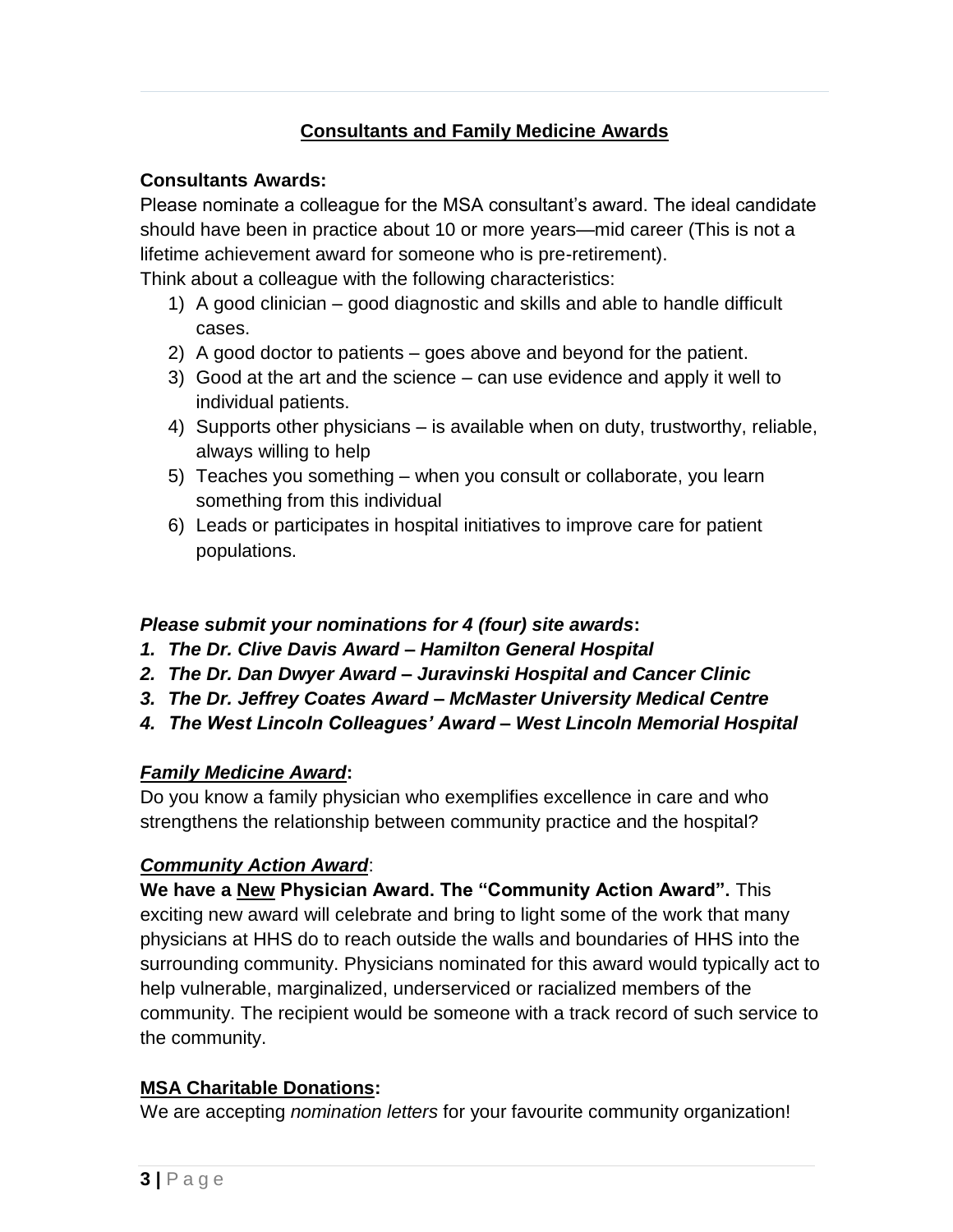## **Consultants and Family Medicine Awards**

#### **Consultants Awards:**

Please nominate a colleague for the MSA consultant's award. The ideal candidate should have been in practice about 10 or more years—mid career (This is not a lifetime achievement award for someone who is pre-retirement).

Think about a colleague with the following characteristics:

- 1) A good clinician good diagnostic and skills and able to handle difficult cases.
- 2) A good doctor to patients goes above and beyond for the patient.
- 3) Good at the art and the science can use evidence and apply it well to individual patients.
- 4) Supports other physicians is available when on duty, trustworthy, reliable, always willing to help
- 5) Teaches you something when you consult or collaborate, you learn something from this individual
- 6) Leads or participates in hospital initiatives to improve care for patient populations.

### *Please submit your nominations for 4 (four) site awards***:**

- *1. The Dr. Clive Davis Award – Hamilton General Hospital*
- *2. The Dr. Dan Dwyer Award – Juravinski Hospital and Cancer Clinic*
- *3. The Dr. Jeffrey Coates Award – McMaster University Medical Centre*
- *4. The West Lincoln Colleagues' Award – West Lincoln Memorial Hospital*

## *Family Medicine Award***:**

Do you know a family physician who exemplifies excellence in care and who strengthens the relationship between community practice and the hospital?

## *Community Action Award*:

**We have a New Physician Award. The "Community Action Award".** This exciting new award will celebrate and bring to light some of the work that many physicians at HHS do to reach outside the walls and boundaries of HHS into the surrounding community. Physicians nominated for this award would typically act to help vulnerable, marginalized, underserviced or racialized members of the community. The recipient would be someone with a track record of such service to the community.

## **MSA Charitable Donations:**

We are accepting *nomination letters* for your favourite community organization!